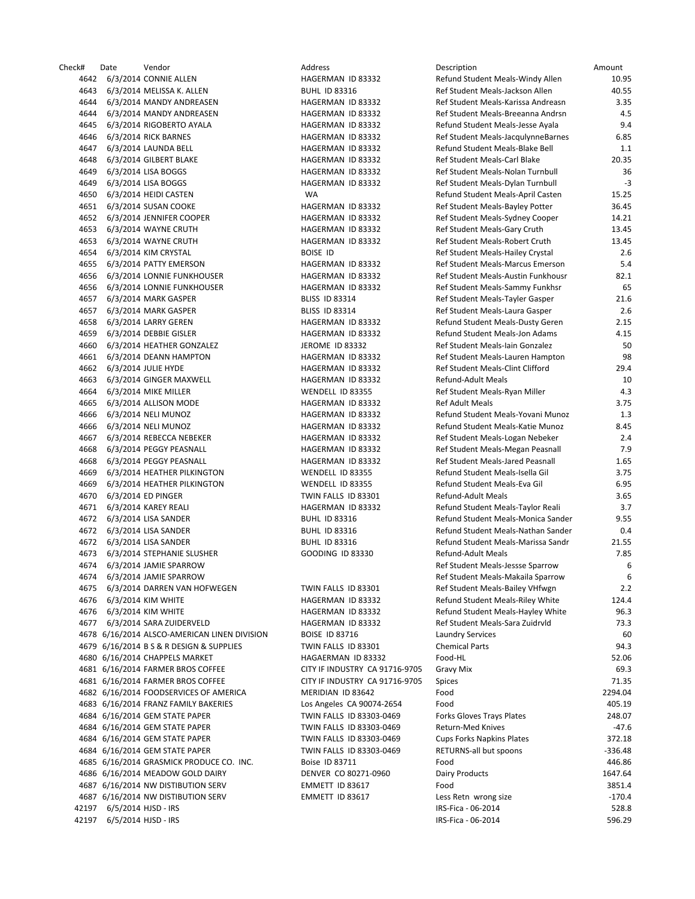| Check# | Date                          | Vendor                                       | Address                        | Description                        | Amount    |
|--------|-------------------------------|----------------------------------------------|--------------------------------|------------------------------------|-----------|
| 4642   |                               | 6/3/2014 CONNIE ALLEN                        | HAGERMAN ID 83332              | Refund Student Meals-Windy Allen   | 10.95     |
| 4643   |                               | 6/3/2014 MELISSA K. ALLEN                    | <b>BUHL ID 83316</b>           | Ref Student Meals-Jackson Allen    | 40.55     |
| 4644   |                               | 6/3/2014 MANDY ANDREASEN                     | HAGERMAN ID 83332              | Ref Student Meals-Karissa Andreasn | 3.35      |
| 4644   |                               | 6/3/2014 MANDY ANDREASEN                     | HAGERMAN ID 83332              | Ref Student Meals-Breeanna Andrsn  | 4.5       |
| 4645   |                               | 6/3/2014 RIGOBERTO AYALA                     | HAGERMAN ID 83332              | Refund Student Meals-Jesse Ayala   | 9.4       |
| 4646   |                               | 6/3/2014 RICK BARNES                         | HAGERMAN ID 83332              | Ref Student Meals-JacqulynneBarnes | 6.85      |
| 4647   |                               | 6/3/2014 LAUNDA BELL                         | HAGERMAN ID 83332              | Refund Student Meals-Blake Bell    | 1.1       |
| 4648   |                               | 6/3/2014 GILBERT BLAKE                       | HAGERMAN ID 83332              | Ref Student Meals-Carl Blake       | 20.35     |
| 4649   |                               | 6/3/2014 LISA BOGGS                          | HAGERMAN ID 83332              | Ref Student Meals-Nolan Turnbull   | 36        |
| 4649   |                               | 6/3/2014 LISA BOGGS                          | HAGERMAN ID 83332              | Ref Student Meals-Dylan Turnbull   | $-3$      |
| 4650   |                               | 6/3/2014 HEIDI CASTEN                        | <b>WA</b>                      | Refund Student Meals-April Casten  | 15.25     |
| 4651   |                               | 6/3/2014 SUSAN COOKE                         | HAGERMAN ID 83332              | Ref Student Meals-Bayley Potter    | 36.45     |
| 4652   |                               | 6/3/2014 JENNIFER COOPER                     | HAGERMAN ID 83332              | Ref Student Meals-Sydney Cooper    | 14.21     |
| 4653   |                               | 6/3/2014 WAYNE CRUTH                         | HAGERMAN ID 83332              | Ref Student Meals-Gary Cruth       | 13.45     |
| 4653   |                               | 6/3/2014 WAYNE CRUTH                         | HAGERMAN ID 83332              | Ref Student Meals-Robert Cruth     | 13.45     |
| 4654   |                               | 6/3/2014 KIM CRYSTAL                         | <b>BOISE ID</b>                | Ref Student Meals-Hailey Crystal   | 2.6       |
| 4655   |                               | 6/3/2014 PATTY EMERSON                       | HAGERMAN ID 83332              | Ref Student Meals-Marcus Emerson   | 5.4       |
| 4656   |                               |                                              | HAGERMAN ID 83332              | Ref Student Meals-Austin Funkhousr | 82.1      |
|        |                               | 6/3/2014 LONNIE FUNKHOUSER                   | HAGERMAN ID 83332              |                                    |           |
| 4656   |                               | 6/3/2014 LONNIE FUNKHOUSER                   |                                | Ref Student Meals-Sammy Funkhsr    | 65        |
| 4657   |                               | 6/3/2014 MARK GASPER                         | <b>BLISS ID 83314</b>          | Ref Student Meals-Tayler Gasper    | 21.6      |
| 4657   |                               | 6/3/2014 MARK GASPER                         | <b>BLISS ID 83314</b>          | Ref Student Meals-Laura Gasper     | 2.6       |
| 4658   |                               | 6/3/2014 LARRY GEREN                         | HAGERMAN ID 83332              | Refund Student Meals-Dusty Geren   | 2.15      |
| 4659   |                               | 6/3/2014 DEBBIE GISLER                       | HAGERMAN ID 83332              | Refund Student Meals-Jon Adams     | 4.15      |
| 4660   |                               | 6/3/2014 HEATHER GONZALEZ                    | <b>JEROME ID 83332</b>         | Ref Student Meals-Iain Gonzalez    | 50        |
| 4661   |                               | 6/3/2014 DEANN HAMPTON                       | HAGERMAN ID 83332              | Ref Student Meals-Lauren Hampton   | 98        |
| 4662   |                               | 6/3/2014 JULIE HYDE                          | HAGERMAN ID 83332              | Ref Student Meals-Clint Clifford   | 29.4      |
| 4663   |                               | 6/3/2014 GINGER MAXWELL                      | HAGERMAN ID 83332              | <b>Refund-Adult Meals</b>          | 10        |
| 4664   |                               | 6/3/2014 MIKE MILLER                         | WENDELL ID 83355               | Ref Student Meals-Ryan Miller      | 4.3       |
| 4665   |                               | 6/3/2014 ALLISON MODE                        | HAGERMAN ID 83332              | <b>Ref Adult Meals</b>             | 3.75      |
| 4666   |                               | 6/3/2014 NELI MUNOZ                          | HAGERMAN ID 83332              | Refund Student Meals-Yovani Munoz  | 1.3       |
| 4666   |                               | 6/3/2014 NELI MUNOZ                          | HAGERMAN ID 83332              | Refund Student Meals-Katie Munoz   | 8.45      |
| 4667   |                               | 6/3/2014 REBECCA NEBEKER                     | HAGERMAN ID 83332              | Ref Student Meals-Logan Nebeker    | 2.4       |
| 4668   |                               | 6/3/2014 PEGGY PEASNALL                      | HAGERMAN ID 83332              | Ref Student Meals-Megan Peasnall   | 7.9       |
| 4668   |                               | 6/3/2014 PEGGY PEASNALL                      | HAGERMAN ID 83332              | Ref Student Meals-Jared Peasnall   | 1.65      |
| 4669   |                               | 6/3/2014 HEATHER PILKINGTON                  | WENDELL ID 83355               | Refund Student Meals-Isella Gil    | 3.75      |
| 4669   |                               | 6/3/2014 HEATHER PILKINGTON                  | WENDELL ID 83355               | Refund Student Meals-Eva Gil       | 6.95      |
| 4670   |                               | 6/3/2014 ED PINGER                           | TWIN FALLS ID 83301            | Refund-Adult Meals                 | 3.65      |
| 4671   |                               | 6/3/2014 KAREY REALI                         | HAGERMAN ID 83332              | Refund Student Meals-Taylor Reali  | 3.7       |
| 4672   |                               | 6/3/2014 LISA SANDER                         | <b>BUHL ID 83316</b>           | Refund Student Meals-Monica Sander | 9.55      |
| 4672   |                               | 6/3/2014 LISA SANDER                         | <b>BUHL ID 83316</b>           | Refund Student Meals-Nathan Sander | 0.4       |
| 4672   |                               | 6/3/2014 LISA SANDER                         | <b>BUHL ID 83316</b>           | Refund Student Meals-Marissa Sandr | 21.55     |
|        |                               | 4673 6/3/2014 STEPHANIE SLUSHER              | <b>GOODING ID 83330</b>        | Refund-Adult Meals                 | 7.85      |
|        |                               | 4674 6/3/2014 JAMIE SPARROW                  |                                | Ref Student Meals-Jessse Sparrow   | 6         |
| 4674   |                               | 6/3/2014 JAMIE SPARROW                       |                                | Ref Student Meals-Makaila Sparrow  | 6         |
| 4675   |                               | 6/3/2014 DARREN VAN HOFWEGEN                 | TWIN FALLS ID 83301            | Ref Student Meals-Bailey VHfwgn    | 2.2       |
| 4676   |                               | 6/3/2014 KIM WHITE                           | HAGERMAN ID 83332              | Refund Student Meals-Riley White   | 124.4     |
| 4676   |                               | 6/3/2014 KIM WHITE                           |                                | Refund Student Meals-Hayley White  | 96.3      |
|        |                               |                                              | HAGERMAN ID 83332              |                                    |           |
| 4677   |                               | 6/3/2014 SARA ZUIDERVELD                     | HAGERMAN ID 83332              | Ref Student Meals-Sara Zuidrvld    | 73.3      |
|        |                               | 4678 6/16/2014 ALSCO-AMERICAN LINEN DIVISION | <b>BOISE ID 83716</b>          | <b>Laundry Services</b>            | 60        |
|        |                               | 4679 6/16/2014 B S & R DESIGN & SUPPLIES     | TWIN FALLS ID 83301            | <b>Chemical Parts</b>              | 94.3      |
|        |                               | 4680 6/16/2014 CHAPPELS MARKET               | HAGAERMAN ID 83332             | Food-HL                            | 52.06     |
|        |                               | 4681 6/16/2014 FARMER BROS COFFEE            | CITY IF INDUSTRY CA 91716-9705 | Gravy Mix                          | 69.3      |
|        |                               | 4681 6/16/2014 FARMER BROS COFFEE            | CITY IF INDUSTRY CA 91716-9705 | Spices                             | 71.35     |
|        |                               | 4682 6/16/2014 FOODSERVICES OF AMERICA       | MERIDIAN ID 83642              | Food                               | 2294.04   |
|        |                               | 4683 6/16/2014 FRANZ FAMILY BAKERIES         | Los Angeles CA 90074-2654      | Food                               | 405.19    |
|        |                               | 4684 6/16/2014 GEM STATE PAPER               | TWIN FALLS ID 83303-0469       | Forks Gloves Trays Plates          | 248.07    |
|        |                               | 4684 6/16/2014 GEM STATE PAPER               | TWIN FALLS ID 83303-0469       | Return-Med Knives                  | $-47.6$   |
|        |                               | 4684 6/16/2014 GEM STATE PAPER               | TWIN FALLS ID 83303-0469       | <b>Cups Forks Napkins Plates</b>   | 372.18    |
|        |                               | 4684 6/16/2014 GEM STATE PAPER               | TWIN FALLS ID 83303-0469       | <b>RETURNS-all but spoons</b>      | $-336.48$ |
|        |                               | 4685 6/16/2014 GRASMICK PRODUCE CO. INC.     | Boise ID 83711                 | Food                               | 446.86    |
|        |                               | 4686 6/16/2014 MEADOW GOLD DAIRY             | DENVER CO 80271-0960           | Dairy Products                     | 1647.64   |
|        |                               | 4687 6/16/2014 NW DISTIBUTION SERV           | EMMETT ID 83617                | Food                               | 3851.4    |
|        |                               | 4687 6/16/2014 NW DISTIBUTION SERV           | EMMETT ID 83617                | Less Retn wrong size               | $-170.4$  |
|        | 42197 6/5/2014 HJSD - IRS     |                                              |                                | IRS-Fica - 06-2014                 | 528.8     |
|        | $12107 - 6/5/2011$ HISD - IRS |                                              |                                | $IRC_{2}F_{1C2} - D6_{2}2014$      | 506.20    |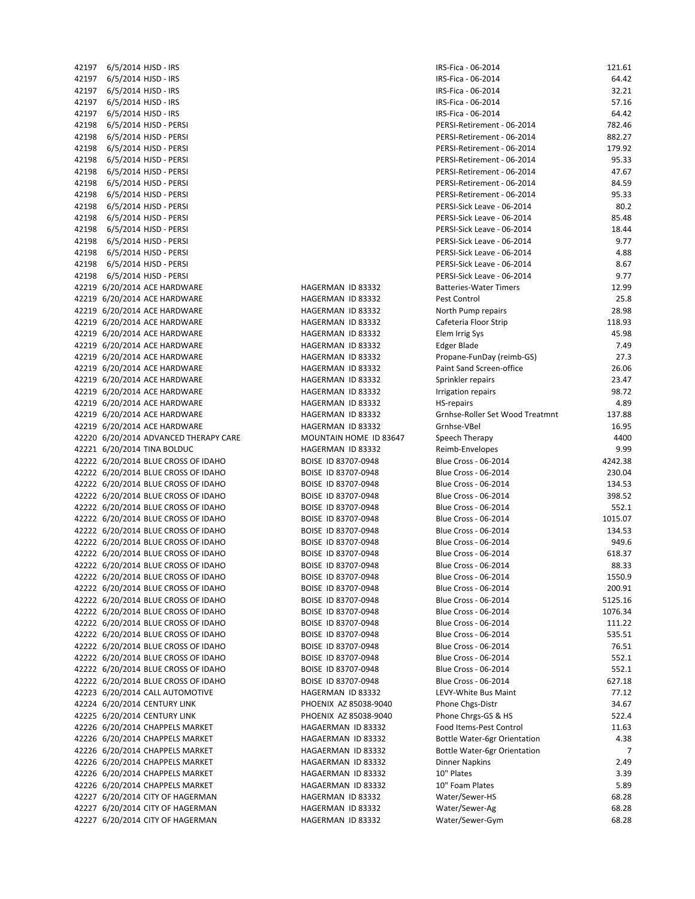42197 6/5/2014 HJSD - IRS 42197 6/5/2014 HJSD - IRS 42197 6/5/2014 HJSD - IRS 42197 6/5/2014 HJSD - IRS 42197 6/5/2014 HJSD - IRS 42198 6/5/2014 HJSD - PERSI 42198 6/5/2014 HJSD - PERSI 42198 6/5/2014 HJSD - PERSI 42198 6/5/2014 HJSD - PERSI 42198 6/5/2014 HJSD - PERSI 42198 6/5/2014 HJSD - PERSI 42198 6/5/2014 HJSD - PERSI 42198 6/5/2014 HJSD - PERSI 42198 6/5/2014 HJSD - PERSI 42198 6/5/2014 HJSD - PERSI 42198 6/5/2014 HJSD - PERSI 42198 6/5/2014 HJSD - PERSI 42198 6/5/2014 HJSD - PERSI 42198 6/5/2014 HJSD - PERSI 42219 6/20/2014 ACE HARDWARE HAGERMAN ID 83332 42219 6/20/2014 ACE HARDWARE HAGERMAN ID 83332 42219 6/20/2014 ACE HARDWARE HAGERMAN ID 83332 42219 6/20/2014 ACE HARDWARE HAGERMAN ID 83332 42219 6/20/2014 ACE HARDWARE HAGERMAN ID 83332 42219 6/20/2014 ACE HARDWARE HAGERMAN ID 83332 42219 6/20/2014 ACE HARDWARE HAGERMAN ID 83332 42219 6/20/2014 ACE HARDWARE HAGERMAN ID 83332 42219 6/20/2014 ACE HARDWARE HAGERMAN ID 83332 42219 6/20/2014 ACE HARDWARE HAGERMAN ID 83332 42219 6/20/2014 ACE HARDWARE HAGERMAN ID 83332 42219 6/20/2014 ACE HARDWARE HAGERMAN ID 83332 42219 6/20/2014 ACE HARDWARE HAGERMAN ID 83332 42220 6/20/2014 ADVANCED THERAPY CARE MOUNTAIN HOME ID 83647 42221 6/20/2014 TINA BOLDUC HAGERMAN ID 83332 42222 6/20/2014 BLUE CROSS OF IDAHO BOISE ID 83707-0948 42222 6/20/2014 BLUE CROSS OF IDAHO BOISE ID 83707-0948 42222 6/20/2014 BLUE CROSS OF IDAHO BOISE ID 83707-0948 42222 6/20/2014 BLUE CROSS OF IDAHO BOISE ID 83707-0948 42222 6/20/2014 BLUE CROSS OF IDAHO BOISE ID 83707-0948 42222 6/20/2014 BLUE CROSS OF IDAHO BOISE ID 83707-0948 42222 6/20/2014 BLUE CROSS OF IDAHO BOISE ID 83707-0948 42222 6/20/2014 BLUE CROSS OF IDAHO BOISE ID 83707-0948 42222 6/20/2014 BLUE CROSS OF IDAHO BOISE ID 83707-0948 42222 6/20/2014 BLUE CROSS OF IDAHO BOISE ID 83707-0948 42222 6/20/2014 BLUE CROSS OF IDAHO BOISE ID 83707-0948 42222 6/20/2014 BLUE CROSS OF IDAHO BOISE ID 83707-0948 42222 6/20/2014 BLUE CROSS OF IDAHO BOISE ID 83707-0948 42222 6/20/2014 BLUE CROSS OF IDAHO BOISE ID 83707-0948 42222 6/20/2014 BLUE CROSS OF IDAHO BOISE ID 83707-0948 42222 6/20/2014 BLUE CROSS OF IDAHO BOISE ID 83707-0948 42222 6/20/2014 BLUE CROSS OF IDAHO BOISE ID 83707-0948 42222 6/20/2014 BLUE CROSS OF IDAHO BOISE ID 83707-0948 42222 6/20/2014 BLUE CROSS OF IDAHO BOISE ID 83707-0948 42222 6/20/2014 BLUE CROSS OF IDAHO BOISE ID 83707-0948 42223 6/20/2014 CALL AUTOMOTIVE HAGERMAN ID 83332 42224 6/20/2014 CENTURY LINK PHOENIX AZ 85038-9040 42225 6/20/2014 CENTURY LINK **PHOENIX AZ 85038-9040** 42226 6/20/2014 CHAPPELS MARKET HAGAERMAN ID 83332 42226 6/20/2014 CHAPPELS MARKET HAGAERMAN ID 83332 42226 6/20/2014 CHAPPELS MARKET HAGAERMAN ID 83332 42226 6/20/2014 CHAPPELS MARKET HAGAERMAN ID 83332 42226 6/20/2014 CHAPPELS MARKET HAGAERMAN ID 83332 42226 6/20/2014 CHAPPELS MARKET HAGAERMAN ID 83332 42227 6/20/2014 CITY OF HAGERMAN HAGERMAN HAGERMAN ID 83332 42227 6/20/2014 CITY OF HAGERMAN HAGERMAN HAGERMAN ID 83332 42227 6/20/2014 CITY OF HAGERMAN HAGERMAN HAGERMAN ID 83332

|                                 | 121.61            |
|---------------------------------|-------------------|
| IRS-Fica - 06-2014              | 64.42             |
| IRS-Fica - 06-2014              | 32.21             |
| IRS-Fica - 06-2014              | 57.16             |
| IRS-Fica - 06-2014              | 64.42             |
| PERSI-Retirement - 06-2014      | 782.46            |
| PERSI-Retirement - 06-2014      | 882.27            |
| PERSI-Retirement - 06-2014      | 179.92            |
| PERSI-Retirement - 06-2014      | 95.33             |
| PERSI-Retirement - 06-2014      | 47.67             |
| PERSI-Retirement - 06-2014      | 84.59             |
| PERSI-Retirement - 06-2014      | 95.33             |
| PERSI-Sick Leave - 06-2014      | 80.2              |
| PERSI-Sick Leave - 06-2014      | 85.48             |
| PERSI-Sick Leave - 06-2014      | 18.44             |
| PERSI-Sick Leave - 06-2014      | 9.77              |
| PERSI-Sick Leave - 06-2014      | 4.88              |
| PERSI-Sick Leave - 06-2014      | 8.67              |
| PERSI-Sick Leave - 06-2014      | 9.77              |
| <b>Batteries-Water Timers</b>   | 12.99             |
| Pest Control                    | 25.8              |
| North Pump repairs              | 28.98             |
|                                 | 118.93            |
| Cafeteria Floor Strip           |                   |
| Elem Irrig Sys                  | 45.98             |
| <b>Edger Blade</b>              | 7.49              |
| Propane-FunDay (reimb-GS)       | 27.3              |
| Paint Sand Screen-office        | 26.06             |
| Sprinkler repairs               | 23.47             |
| Irrigation repairs              | 98.72             |
| <b>HS-repairs</b>               | 4.89              |
| Grnhse-Roller Set Wood Treatmnt | 137.88            |
| Grnhse-VBel                     | 16.95             |
| Speech Therapy                  | 4400              |
|                                 |                   |
| Reimb-Envelopes                 | 9.99              |
| Blue Cross - 06-2014            | 4242.38           |
| <b>Blue Cross - 06-2014</b>     | 230.04            |
| Blue Cross - 06-2014            | 134.53            |
| Blue Cross - 06-2014            | 398.52            |
| Blue Cross - 06-2014            | 552.1             |
| Blue Cross - 06-2014            | 1015.07           |
| Blue Cross - 06-2014            | 134.53            |
| Blue Cross - 06-2014            | 949.6             |
| <b>Blue Cross - 06-2014</b>     | 618.37            |
| Blue Cross - 06-2014            | 88.33             |
| Blue Cross - 06-2014            |                   |
| Blue Cross - 06-2014            | 1550.9            |
| <b>Blue Cross - 06-2014</b>     | 200.91<br>5125.16 |
|                                 |                   |
| Blue Cross - 06-2014            | 1076.34           |
| <b>Blue Cross - 06-2014</b>     | 111.22            |
| Blue Cross - 06-2014            | 535.51            |
| Blue Cross - 06-2014            | 76.51             |
| Blue Cross - 06-2014            | 552.1             |
| <b>Blue Cross - 06-2014</b>     | 552.1             |
| <b>Blue Cross - 06-2014</b>     | 627.18            |
| LEVY-White Bus Maint            | 77.12             |
| Phone Chgs-Distr                | 34.67             |
| Phone Chrgs-GS & HS             | 522.4             |
| Food Items-Pest Control         | 11.63             |
| Bottle Water-6gr Orientation    | 4.38              |
| Bottle Water-6gr Orientation    | 7                 |
| <b>Dinner Napkins</b>           | 2.49              |
| 10" Plates                      | 3.39              |
| 10" Foam Plates                 | 5.89              |
| Water/Sewer-HS                  | 68.28             |
| Water/Sewer-Ag                  | 68.28             |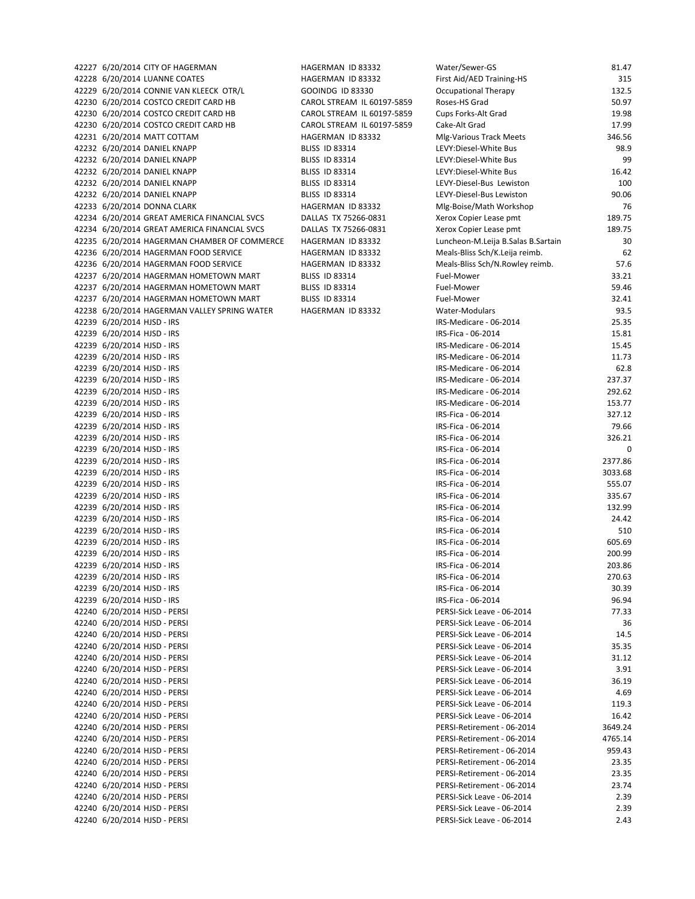| 42227 6/20/2014 CITY OF HAGERMAN             | HAGERMAN ID 83332          | Water/Sewer-GS                     | 81.47       |
|----------------------------------------------|----------------------------|------------------------------------|-------------|
| 42228 6/20/2014 LUANNE COATES                | HAGERMAN ID 83332          | First Aid/AED Training-HS          | 315         |
| 42229 6/20/2014 CONNIE VAN KLEECK OTR/L      | GOOINDG ID 83330           | <b>Occupational Therapy</b>        | 132.5       |
| 42230 6/20/2014 COSTCO CREDIT CARD HB        | CAROL STREAM IL 60197-5859 | Roses-HS Grad                      | 50.97       |
| 42230 6/20/2014 COSTCO CREDIT CARD HB        | CAROL STREAM IL 60197-5859 | Cups Forks-Alt Grad                | 19.98       |
| 42230 6/20/2014 COSTCO CREDIT CARD HB        | CAROL STREAM IL 60197-5859 | Cake-Alt Grad                      | 17.99       |
| 42231 6/20/2014 MATT COTTAM                  | HAGERMAN ID 83332          | Mlg-Various Track Meets            | 346.56      |
| 42232 6/20/2014 DANIEL KNAPP                 | <b>BLISS ID 83314</b>      | LEVY:Diesel-White Bus              | 98.9        |
| 42232 6/20/2014 DANIEL KNAPP                 | <b>BLISS ID 83314</b>      | LEVY:Diesel-White Bus              | 99          |
| 42232 6/20/2014 DANIEL KNAPP                 | <b>BLISS ID 83314</b>      | LEVY:Diesel-White Bus              | 16.42       |
| 42232 6/20/2014 DANIEL KNAPP                 | <b>BLISS ID 83314</b>      | LEVY-Diesel-Bus Lewiston           | 100         |
| 42232 6/20/2014 DANIEL KNAPP                 | <b>BLISS ID 83314</b>      | LEVY-Diesel-Bus Lewiston           | 90.06       |
| 42233 6/20/2014 DONNA CLARK                  | HAGERMAN ID 83332          | Mlg-Boise/Math Workshop            | 76          |
| 42234 6/20/2014 GREAT AMERICA FINANCIAL SVCS | DALLAS TX 75266-0831       | Xerox Copier Lease pmt             | 189.75      |
| 42234 6/20/2014 GREAT AMERICA FINANCIAL SVCS | DALLAS TX 75266-0831       | Xerox Copier Lease pmt             | 189.75      |
| 42235 6/20/2014 HAGERMAN CHAMBER OF COMMERCE | HAGERMAN ID 83332          | Luncheon-M.Leija B.Salas B.Sartain | 30          |
| 42236 6/20/2014 HAGERMAN FOOD SERVICE        | HAGERMAN ID 83332          | Meals-Bliss Sch/K.Leija reimb.     | 62          |
| 42236 6/20/2014 HAGERMAN FOOD SERVICE        | HAGERMAN ID 83332          | Meals-Bliss Sch/N.Rowley reimb.    | 57.6        |
| 42237 6/20/2014 HAGERMAN HOMETOWN MART       | <b>BLISS ID 83314</b>      | Fuel-Mower                         | 33.21       |
| 42237 6/20/2014 HAGERMAN HOMETOWN MART       | <b>BLISS ID 83314</b>      | Fuel-Mower                         | 59.46       |
| 42237 6/20/2014 HAGERMAN HOMETOWN MART       | <b>BLISS ID 83314</b>      | Fuel-Mower                         | 32.41       |
| 42238 6/20/2014 HAGERMAN VALLEY SPRING WATER | HAGERMAN ID 83332          | Water-Modulars                     | 93.5        |
| 42239 6/20/2014 HJSD - IRS                   |                            | IRS-Medicare - 06-2014             | 25.35       |
| 42239 6/20/2014 HJSD - IRS                   |                            |                                    | 15.81       |
|                                              |                            | IRS-Fica - 06-2014                 |             |
| 42239 6/20/2014 HJSD - IRS                   |                            | IRS-Medicare - 06-2014             | 15.45       |
| 42239 6/20/2014 HJSD - IRS                   |                            | IRS-Medicare - 06-2014             | 11.73       |
| 42239 6/20/2014 HJSD - IRS                   |                            | IRS-Medicare - 06-2014             | 62.8        |
| 42239 6/20/2014 HJSD - IRS                   |                            | IRS-Medicare - 06-2014             | 237.37      |
| 42239 6/20/2014 HJSD - IRS                   |                            | IRS-Medicare - 06-2014             | 292.62      |
| 42239 6/20/2014 HJSD - IRS                   |                            | IRS-Medicare - 06-2014             | 153.77      |
| 42239 6/20/2014 HJSD - IRS                   |                            | IRS-Fica - 06-2014                 | 327.12      |
| 42239 6/20/2014 HJSD - IRS                   |                            | IRS-Fica - 06-2014                 | 79.66       |
| 42239 6/20/2014 HJSD - IRS                   |                            | IRS-Fica - 06-2014                 | 326.21      |
| 42239 6/20/2014 HJSD - IRS                   |                            | IRS-Fica - 06-2014                 | $\mathbf 0$ |
| 42239 6/20/2014 HJSD - IRS                   |                            | IRS-Fica - 06-2014                 | 2377.86     |
| 42239 6/20/2014 HJSD - IRS                   |                            | IRS-Fica - 06-2014                 | 3033.68     |
| 42239 6/20/2014 HJSD - IRS                   |                            | IRS-Fica - 06-2014                 | 555.07      |
| 42239 6/20/2014 HJSD - IRS                   |                            | IRS-Fica - 06-2014                 | 335.67      |
| 42239 6/20/2014 HJSD - IRS                   |                            | IRS-Fica - 06-2014                 | 132.99      |
| 42239 6/20/2014 HJSD - IRS                   |                            | IRS-Fica - 06-2014                 | 24.42       |
| 42239 6/20/2014 HJSD - IRS                   |                            | IRS-Fica - 06-2014                 | 510         |
| 42239 6/20/2014 HJSD - IRS                   |                            | IRS-Fica - 06-2014                 | 605.69      |
| 42239 6/20/2014 HJSD - IRS                   |                            | IRS-Fica - 06-2014                 | 200.99      |
| 42239 6/20/2014 HJSD - IRS                   |                            | IRS-Fica - 06-2014                 | 203.86      |
| 42239 6/20/2014 HJSD - IRS                   |                            | IRS-Fica - 06-2014                 | 270.63      |
| 42239 6/20/2014 HJSD - IRS                   |                            | IRS-Fica - 06-2014                 | 30.39       |
| 42239 6/20/2014 HJSD - IRS                   |                            | IRS-Fica - 06-2014                 | 96.94       |
| 42240 6/20/2014 HJSD - PERSI                 |                            | PERSI-Sick Leave - 06-2014         | 77.33       |
| 42240 6/20/2014 HJSD - PERSI                 |                            | PERSI-Sick Leave - 06-2014         | 36          |
| 42240 6/20/2014 HJSD - PERSI                 |                            | PERSI-Sick Leave - 06-2014         | 14.5        |
| 42240 6/20/2014 HJSD - PERSI                 |                            | PERSI-Sick Leave - 06-2014         | 35.35       |
| 42240 6/20/2014 HJSD - PERSI                 |                            | PERSI-Sick Leave - 06-2014         | 31.12       |
| 42240 6/20/2014 HJSD - PERSI                 |                            | PERSI-Sick Leave - 06-2014         | 3.91        |
| 42240 6/20/2014 HJSD - PERSI                 |                            | PERSI-Sick Leave - 06-2014         | 36.19       |
| 42240 6/20/2014 HJSD - PERSI                 |                            | PERSI-Sick Leave - 06-2014         | 4.69        |
| 42240 6/20/2014 HJSD - PERSI                 |                            | PERSI-Sick Leave - 06-2014         | 119.3       |
| 42240 6/20/2014 HJSD - PERSI                 |                            | PERSI-Sick Leave - 06-2014         | 16.42       |
| 42240 6/20/2014 HJSD - PERSI                 |                            | PERSI-Retirement - 06-2014         | 3649.24     |
| 42240 6/20/2014 HJSD - PERSI                 |                            | PERSI-Retirement - 06-2014         | 4765.14     |
| 42240 6/20/2014 HJSD - PERSI                 |                            | PERSI-Retirement - 06-2014         | 959.43      |
| 42240 6/20/2014 HJSD - PERSI                 |                            | PERSI-Retirement - 06-2014         | 23.35       |
| 42240 6/20/2014 HJSD - PERSI                 |                            | PERSI-Retirement - 06-2014         | 23.35       |
| 42240 6/20/2014 HJSD - PERSI                 |                            | PERSI-Retirement - 06-2014         | 23.74       |
| 42240 6/20/2014 HJSD - PERSI                 |                            | PERSI-Sick Leave - 06-2014         | 2.39        |
| 42240 6/20/2014 HJSD - PERSI                 |                            | PERSI-Sick Leave - 06-2014         | 2.39        |
| 42240 6/20/2014 HJSD - PERSI                 |                            | PERSI-Sick Leave - 06-2014         | 2.43        |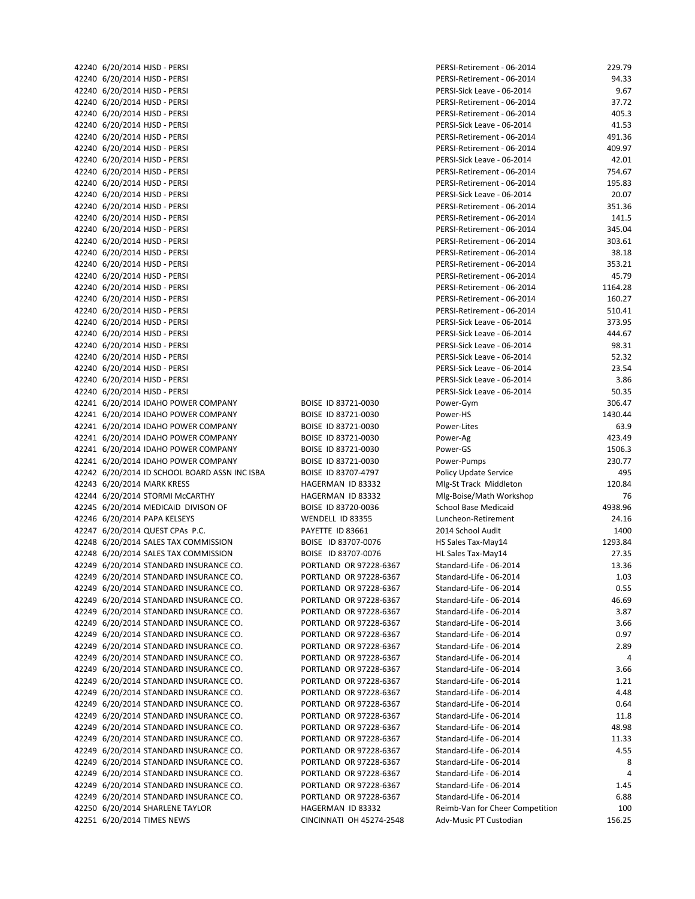42240 6/20/2014 HJSD - PERSI 42240 6/20/2014 HJSD - PERSI 42240 6/20/2014 HJSD - PERSI 42240 6/20/2014 HJSD - PERSI 42240 6/20/2014 HJSD - PERSI 42240 6/20/2014 HJSD - PERSI 42240 6/20/2014 HJSD - PERSI 42240 6/20/2014 HJSD - PERSI 42240 6/20/2014 HJSD - PERSI 42240 6/20/2014 HJSD - PERSI 42240 6/20/2014 HJSD - PERSI 42240 6/20/2014 HJSD - PERSI 42240 6/20/2014 HJSD - PERSI 42240 6/20/2014 HJSD - PERSI 42240 6/20/2014 HJSD - PERSI 42240 6/20/2014 HJSD - PERSI 42240 6/20/2014 HJSD - PERSI 42240 6/20/2014 HJSD - PERSI 42240 6/20/2014 HJSD - PERSI 42240 6/20/2014 HJSD - PERSI 42240 6/20/2014 HJSD - PERSI 42240 6/20/2014 HJSD - PERSI 42240 6/20/2014 HJSD - PERSI 42240 6/20/2014 HJSD - PERSI 42240 6/20/2014 HJSD - PERSI 42240 6/20/2014 HJSD - PERSI 42240 6/20/2014 HJSD - PERSI 42240 6/20/2014 HJSD - PERSI 42240 6/20/2014 HJSD - PERSI 42241 6/20/2014 IDAHO POWER COMPANY BOISE ID 83721-0030 42241 6/20/2014 IDAHO POWER COMPANY BOISE ID 83721-0030 42241 6/20/2014 IDAHO POWER COMPANY BOISE ID 83721-0030 42241 6/20/2014 IDAHO POWER COMPANY BOISE ID 83721-0030 42241 6/20/2014 IDAHO POWER COMPANY BOISE ID 83721-0030 42241 6/20/2014 IDAHO POWER COMPANY BOISE ID 83721-0030 42242 6/20/2014 ID SCHOOL BOARD ASSN INC ISBA BOISE ID 83707-4797 42243 6/20/2014 MARK KRESS HAGERMAN ID 83332 42244 6/20/2014 STORMI McCARTHY **HAGERMAN ID 83332** 42245 6/20/2014 MEDICAID DIVISON OF BOISE ID 83720-0036 42246 6/20/2014 PAPA KELSEYS WENDELL ID 83355 42247 6/20/2014 QUEST CPAs P.C. PAYETTE ID 83661 42248 6/20/2014 SALES TAX COMMISSION BOISE ID 83707-0076 42248 6/20/2014 SALES TAX COMMISSION BOISE ID 83707-0076 42249 6/20/2014 STANDARD INSURANCE CO. PORTLAND OR 97228-6367 42249 6/20/2014 STANDARD INSURANCE CO. PORTLAND OR 97228-6367 42249 6/20/2014 STANDARD INSURANCE CO. PORTLAND OR 97228-6367 42249 6/20/2014 STANDARD INSURANCE CO. PORTLAND OR 97228-6367 42249 6/20/2014 STANDARD INSURANCE CO. PORTLAND OR 97228-6367 42249 6/20/2014 STANDARD INSURANCE CO. PORTLAND OR 97228-6367 42249 6/20/2014 STANDARD INSURANCE CO. PORTLAND OR 97228-6367 42249 6/20/2014 STANDARD INSURANCE CO. PORTLAND OR 97228-6367 42249 6/20/2014 STANDARD INSURANCE CO. PORTLAND OR 97228-6367 42249 6/20/2014 STANDARD INSURANCE CO. PORTLAND OR 97228-6367 42249 6/20/2014 STANDARD INSURANCE CO. PORTLAND OR 97228-6367 42249 6/20/2014 STANDARD INSURANCE CO. PORTLAND OR 97228-6367 42249 6/20/2014 STANDARD INSURANCE CO. PORTLAND OR 97228-6367 42249 6/20/2014 STANDARD INSURANCE CO. PORTLAND OR 97228-6367 42249 6/20/2014 STANDARD INSURANCE CO. PORTLAND OR 97228-6367 42249 6/20/2014 STANDARD INSURANCE CO. PORTLAND OR 97228-6367 42249 6/20/2014 STANDARD INSURANCE CO. PORTLAND OR 97228-6367 42249 6/20/2014 STANDARD INSURANCE CO. PORTLAND OR 97228-6367 42249 6/20/2014 STANDARD INSURANCE CO. PORTLAND OR 97228-6367 42249 6/20/2014 STANDARD INSURANCE CO. PORTLAND OR 97228-6367 42249 6/20/2014 STANDARD INSURANCE CO. PORTLAND OR 97228-6367 42250 6/20/2014 SHARLENE TAYLOR **HAGERMAN ID 83332** 42251 6/20/2014 TIMES NEWS CINCINNATI OH 45274-2548

| PERSI-Retirement - 06-2014      | 229.79  |
|---------------------------------|---------|
| PERSI-Retirement - 06-2014      |         |
|                                 | 94.33   |
| PERSI-Sick Leave - 06-2014      | 9.67    |
| PERSI-Retirement - 06-2014      | 37.72   |
| PERSI-Retirement - 06-2014      | 405.3   |
| PERSI-Sick Leave - 06-2014      | 41.53   |
| PERSI-Retirement - 06-2014      | 491.36  |
| PERSI-Retirement - 06-2014      | 409.97  |
| PERSI-Sick Leave - 06-2014      | 42.01   |
| PERSI-Retirement - 06-2014      | 754.67  |
| PERSI-Retirement - 06-2014      | 195.83  |
| PERSI-Sick Leave - 06-2014      | 20.07   |
| PERSI-Retirement - 06-2014      | 351.36  |
|                                 |         |
| PERSI-Retirement - 06-2014      | 141.5   |
| PERSI-Retirement - 06-2014      | 345.04  |
| PERSI-Retirement - 06-2014      | 303.61  |
| PERSI-Retirement - 06-2014      | 38.18   |
| PERSI-Retirement - 06-2014      | 353.21  |
| PERSI-Retirement - 06-2014      | 45.79   |
| PERSI-Retirement - 06-2014      | 1164.28 |
| PERSI-Retirement - 06-2014      | 160.27  |
| PERSI-Retirement - 06-2014      | 510.41  |
| PERSI-Sick Leave - 06-2014      | 373.95  |
| PERSI-Sick Leave - 06-2014      | 444.67  |
| PERSI-Sick Leave - 06-2014      | 98.31   |
| PERSI-Sick Leave - 06-2014      | 52.32   |
| PERSI-Sick Leave - 06-2014      |         |
|                                 | 23.54   |
| PERSI-Sick Leave - 06-2014      | 3.86    |
| PERSI-Sick Leave - 06-2014      | 50.35   |
| Power-Gym                       | 306.47  |
| Power-HS                        | 1430.44 |
| Power-Lites                     | 63.9    |
| Power-Ag                        | 423.49  |
| Power-GS                        | 1506.3  |
| Power-Pumps                     | 230.77  |
| Policy Update Service           | 495     |
| Mlg-St Track Middleton          | 120.84  |
| Mlg-Boise/Math Workshop         | 76      |
| <b>School Base Medicaid</b>     | 4938.96 |
| Luncheon-Retirement             | 24.16   |
| 2014 School Audit               | 1400    |
|                                 |         |
| HS Sales Tax-May14              | 1293.84 |
| HL Sales Tax-May14              | 27.35   |
| Standard-Life - 06-2014         | 13.36   |
| Standard-Life - 06-2014         | 1.03    |
| Standard-Life - 06-2014         | 0.55    |
| Standard-Life - 06-2014         | 46.69   |
| Standard-Life - 06-2014         | 3.87    |
| Standard-Life - 06-2014         | 3.66    |
| Standard-Life - 06-2014         | 0.97    |
| Standard-Life - 06-2014         | 2.89    |
| Standard-Life - 06-2014         | 4       |
| Standard-Life - 06-2014         | 3.66    |
| Standard-Life - 06-2014         |         |
|                                 | 1.21    |
| Standard-Life - 06-2014         | 4.48    |
| Standard-Life - 06-2014         | 0.64    |
| Standard-Life - 06-2014         | 11.8    |
| Standard-Life - 06-2014         | 48.98   |
| Standard-Life - 06-2014         | 11.33   |
| Standard-Life - 06-2014         | 4.55    |
| Standard-Life - 06-2014         | 8       |
| Standard-Life - 06-2014         | 4       |
| Standard-Life - 06-2014         | 1.45    |
| Standard-Life - 06-2014         | 6.88    |
| Reimb-Van for Cheer Competition | 100     |
| Adv-Music PT Custodian          | 156.25  |
|                                 |         |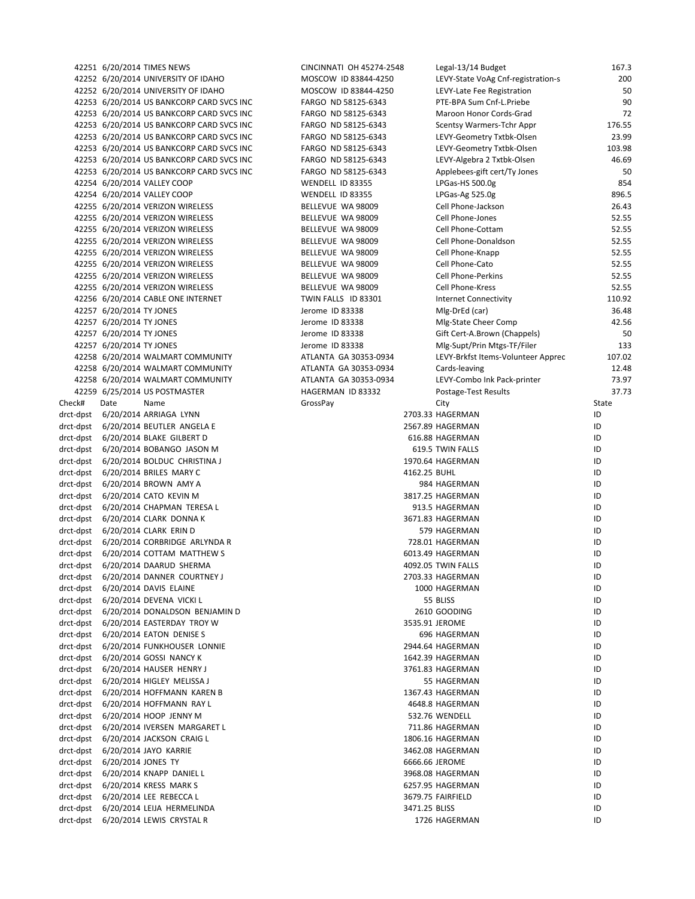42251 6/20/2014 TIMES NEWS CINCINNATI OH 45274-2548 Legal-13/14 Budget 167.3 42252 6/20/2014 UNIVERSITY OF IDAHO MOSCOW ID 83844‐4250 LEVY‐State VoAg Cnf‐registration‐s 200 42252 6/20/2014 UNIVERSITY OF IDAHO MOSCOW ID 83844-4250 LEVY-Late Fee Registration 50 42253 6/20/2014 US BANKCORP CARD SVCS INC FARGO ND 58125-6343 PTE-BPA Sum Cnf-L.Priebe 90 42253 6/20/2014 US BANKCORP CARD SVCS INC FARGO ND 58125-6343 Maroon Honor Cords-Grad 72 42253 6/20/2014 US BANKCORP CARD SVCS INC FARGO ND 58125-6343 Scentsy Warmers-Tchr Appr 176.55 42253 6/20/2014 US BANKCORP CARD SVCS INC FARGO ND 58125‐6343 LEVY‐Geometry Txtbk‐Olsen 23.99 42253 6/20/2014 US BANKCORP CARD SVCS INC FARGO ND 58125‐6343 LEVY‐Geometry Txtbk‐Olsen 103.98 42253 6/20/2014 US BANKCORP CARD SVCS INC FARGO ND 58125-6343 LEVY-Algebra 2 Txtbk-Olsen 46.69 42253 6/20/2014 US BANKCORP CARD SVCS INC FARGO ND 58125-6343 Applebees-gift cert/Ty Jones 50 42254 6/20/2014 VALLEY COOP WENDELL ID 83355 LPGas-HS 500.0g 854 42254 6/20/2014 VALLEY COOP WENDELL ID 83355 LPGas‐Ag 525.0g 896.5 42255 6/20/2014 VERIZON WIRELESS BELLEVUE WA 98009 Cell Phone‐Jackson 26.43 42255 6/20/2014 VERIZON WIRELESS BELLEVUE WA 98009 Cell Phone‐Jones 52.55 42255 6/20/2014 VERIZON WIRELESS BELLEVUE WA 98009 Cell Phone‐Cottam 52.55 42255 6/20/2014 VERIZON WIRELESS BELLEVUE WA 98009 Cell Phone‐Donaldson 52.55 42255 6/20/2014 VERIZON WIRELESS BELLEVUE WA 98009 Cell Phone‐Knapp 52.55 42255 6/20/2014 VERIZON WIRELESS BELLEVUE WA 98009 Cell Phone‐Cato 52.55 42255 6/20/2014 VERIZON WIRELESS BELLEVUE WA 98009 Cell Phone-Perkins 52.55 42255 6/20/2014 VERIZON WIRELESS BELLEVUE WA 98009 Cell Phone-Kress 52.55 42256 6/20/2014 CABLE ONE INTERNET TWIN FALLS ID 83301 Internet Connectivity 110.92 42257 6/20/2014 TY JONES 36.48 Jerome ID 83338 Mlg-DrEd (car) 36.48 42257 6/20/2014 TY JONES 42.56 Jerome ID 83338 Mlg-State Cheer Comp 42.56 42257 6/20/2014 TY JONES SOLUTE: 198338 Gift Cert-A.Brown (Chappels) 50 42257 6/20/2014 TY JONES Jerome ID 83338 Mlg-Supt/Prin Mtgs-TF/Filer 133 42258 6/20/2014 WALMART COMMUNITY ATLANTA GA 30353‐0934 LEVY‐Brkfst Items‐Volunteer Apprec 107.02 42258 6/20/2014 WALMART COMMUNITY ATLANTA GA 30353-0934 Cards-leaving Cards 12.48 42258 6/20/2014 WALMART COMMUNITY ATLANTA GA 30353-0934 LEVY-Combo Ink Pack-printer 73.97 42259 6/25/2014 US POSTMASTER HAGERMAN ID 83332 Postage‐Test Results 37.73 Check# Date Name GrossPay City State drct‐dpst 6/20/2014 ARRIAGA LYNN 2703.33 HAGERMAN 2703.33 HAGERMAN ID drct‐dpst 6/20/2014 BEUTLER ANGELA E 2567.89 HAGERMAN 2567.89 HAGERMAN drct‐dpst 6/20/2014 BLAKE GILBERT D **100 CONTROL 100 CONTROL 100 CONTROL** 616.88 HAGERMAN ID drct‐dpst 6/20/2014 BOBANGO JASON M 619.5 TWIN FALLS 619.5 TWIN FALLS drct‐dpst 6/20/2014 BOLDUC CHRISTINA J 1970.64 HAGERMAN 1970.64 HAGERMAN drct‐dpst 6/20/2014 BRILES MARY C **And The Contract Contract Contract Contract Contract Contract Contract Contract Contract Contract Contract Contract Contract Contract Contract Contract Contract Contract Contract Contract** drct‐dpst 6/20/2014 BROWN AMY A **ID** drct‐dpst 6/20/2014 CATO KEVIN M 3817.25 HAGERMAN 3817.25 HAGERMAN drct‐dpst 6/20/2014 CHAPMAN TERESA L 913.5 HAGERMAN 913.5 HAGERMAN drct‐dpst 6/20/2014 CLARK DONNA K ID drct‐dpst 6/20/2014 CLARK ERIN D 579 HAGERMAN 579 HAGERMAN ID drct‐dpst 6/20/2014 CORBRIDGE ARLYNDA R 728.01 HAGERMAN 728.01 HAGERMAN drct‐dpst 6/20/2014 COTTAM MATTHEW S 6013.49 HAGERMAN 6013.49 HAGERMAN drct‐dpst 6/20/2014 DAARUD SHERMA 1D drct‐dpst 6/20/2014 DANNER COURTNEY J<br>
ID drct‐dpst 6/20/2014 DAVIS ELAINE 1DN 1000 HAGERMAN 1000 HAGERMAN ID drct‐dpst 6/20/2014 DEVENA VICKI L 55 BLISS 55 BLISS 55 BLISS 55 BLISS 55 BLISS 55 BLISS 55 BLISS 55 BLISS 55 BLI drct‐dpst 6/20/2014 DONALDSON BENJAMIN D 2610 GOODING 2610 GOODING ID drct‐dpst 6/20/2014 EASTERDAY TROY W 3535.91 JEROME 3535.91 JEROME drct‐dpst 6/20/2014 EATON DENISE S 696 HAGERMAN 696 HAGERMAN ID drct‐dpst 6/20/2014 FUNKHOUSER LONNIE ID And the control of the 2944.64 HAGERMAN ID And the control of the control of the control of the control of the control of the control of the control of the control of the control of drct‐dpst 6/20/2014 GOSSI NANCY K 1642.39 HAGERMAN ID drct‐dpst 6/20/2014 HAUSER HENRY J 3761.83 HAGERMAN ID drct‐dpst 6/20/2014 HIGLEY MELISSA J 55 HAGERMAN 555 HAGERMAN drct‐dpst 6/20/2014 HOFFMANN KAREN B 1367.43 HAGERMAN 1367.43 HAGERMAN drct‐dpst 6/20/2014 HOFFMANN RAY L 4648.8 HAGERMAN 4948.8 HAGERMAN ID drct‐dpst 6/20/2014 HOOP JENNY M 532.76 WENDELL 5532.76 WENDELL 56% and the state of the state of the state of the state of the state of the state of the state of the state of the state of the state of the state of the sta drct‐dpst 6/20/2014 IVERSEN MARGARET L 711.86 HAGERMAN 711.86 HAGERMAN ID drct‐dpst 6/20/2014 JACKSON CRAIG L 1806.16 HAGERMAN ID drct‐dpst 6/20/2014 JAYO KARRIE 3462.08 HAGERMAN ID drct‐dpst 6/20/2014 JONES TY 6666.66 JEROME ID drct‐dpst 6/20/2014 KNAPP DANIEL L 3968.08 HAGERMAN 3968.08 HAGERMAN drct‐dpst 6/20/2014 KRESS MARK S BOOK ID A GERMAN ARE SAN HOT A GERMAN ID A GERMAN ID A GERMAN ID drct‐dpst 6/20/2014 LEE REBECCA L 3679.75 FAIRFIELD ID drct‐dpst 6/20/2014 LEIJA HERMELINDA 3471.25 BLISS ID drct‐dpst 6/20/2014 LEWIS CRYSTAL R 1726 HAGERMAN ID